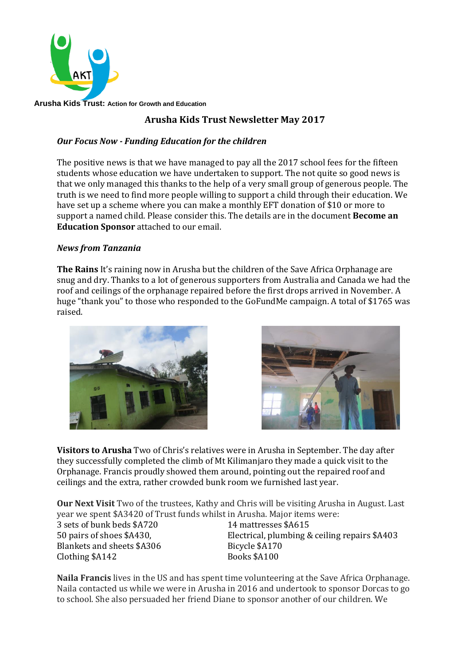

**Arusha Kids Trust: Action for Growth and Education** 

## **Arusha Kids Trust Newsletter May 2017**

## *Our Focus Now - Funding Education for the children*

The positive news is that we have managed to pay all the 2017 school fees for the fifteen students whose education we have undertaken to support. The not quite so good news is that we only managed this thanks to the help of a very small group of generous people. The truth is we need to find more people willing to support a child through their education. We have set up a scheme where you can make a monthly EFT donation of \$10 or more to support a named child. Please consider this. The details are in the document **Become an Education Sponsor** attached to our email.

## *News from Tanzania*

**The Rains** It's raining now in Arusha but the children of the Save Africa Orphanage are snug and dry. Thanks to a lot of generous supporters from Australia and Canada we had the roof and ceilings of the orphanage repaired before the first drops arrived in November. A huge "thank you" to those who responded to the GoFundMe campaign. A total of \$1765 was raised.





**Visitors to Arusha** Two of Chris's relatives were in Arusha in September. The day after they successfully completed the climb of Mt Kilimanjaro they made a quick visit to the Orphanage. Francis proudly showed them around, pointing out the repaired roof and ceilings and the extra, rather crowded bunk room we furnished last year.

**Our Next Visit** Two of the trustees, Kathy and Chris will be visiting Arusha in August. Last year we spent \$A3420 of Trust funds whilst in Arusha. Major items were:

3 sets of bunk beds \$A720 14 mattresses \$A615 Blankets and sheets \$A306 Bicycle \$A170 Clothing \$A142 Books \$A100

50 pairs of shoes \$A430, Electrical, plumbing & ceiling repairs \$A403

**Naila Francis** lives in the US and has spent time volunteering at the Save Africa Orphanage. Naila contacted us while we were in Arusha in 2016 and undertook to sponsor Dorcas to go to school. She also persuaded her friend Diane to sponsor another of our children. We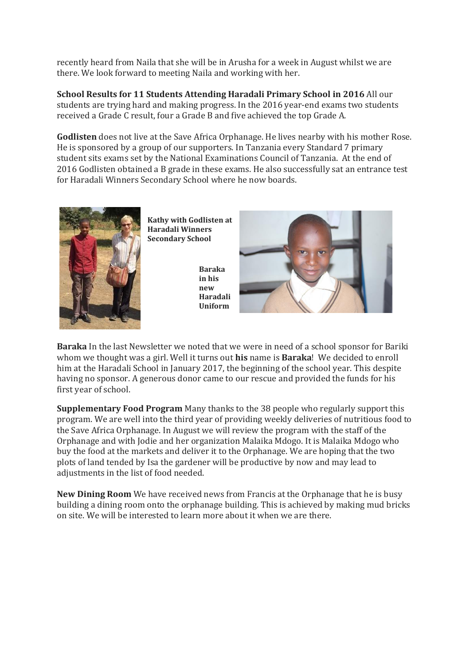recently heard from Naila that she will be in Arusha for a week in August whilst we are there. We look forward to meeting Naila and working with her.

**School Results for 11 Students Attending Haradali Primary School in 2016** All our students are trying hard and making progress. In the 2016 year-end exams two students received a Grade C result, four a Grade B and five achieved the top Grade A.

**Godlisten** does not live at the Save Africa Orphanage. He lives nearby with his mother Rose. He is sponsored by a group of our supporters. In Tanzania every Standard 7 primary student sits exams set by the National Examinations Council of Tanzania. At the end of 2016 Godlisten obtained a B grade in these exams. He also successfully sat an entrance test for Haradali Winners Secondary School where he now boards.



**Baraka** In the last Newsletter we noted that we were in need of a school sponsor for Bariki whom we thought was a girl. Well it turns out **his** name is **Baraka**! We decided to enroll him at the Haradali School in January 2017, the beginning of the school year. This despite having no sponsor. A generous donor came to our rescue and provided the funds for his first year of school.

**Supplementary Food Program** Many thanks to the 38 people who regularly support this program. We are well into the third year of providing weekly deliveries of nutritious food to the Save Africa Orphanage. In August we will review the program with the staff of the Orphanage and with Jodie and her organization Malaika Mdogo. It is Malaika Mdogo who buy the food at the markets and deliver it to the Orphanage. We are hoping that the two plots of land tended by Isa the gardener will be productive by now and may lead to adjustments in the list of food needed.

**New Dining Room** We have received news from Francis at the Orphanage that he is busy building a dining room onto the orphanage building. This is achieved by making mud bricks on site. We will be interested to learn more about it when we are there.